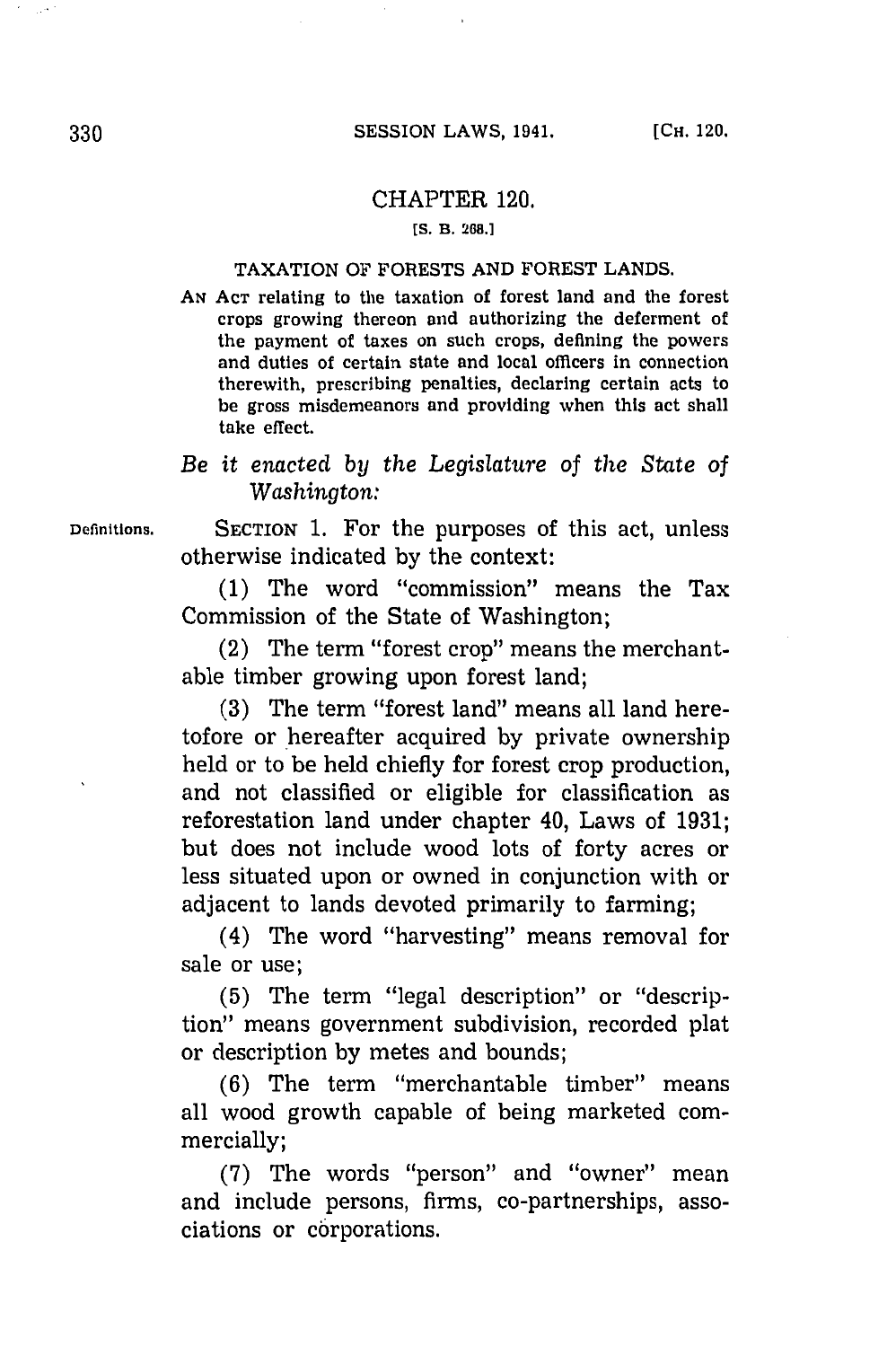## CHAPTER 120.

**[S. B. 268.1**

## TAXATION OF FORESTS **AND** FOREST **LANDS.**

**AN ACT** relating to the taxation of forest land and the forest crops growing thereon and authorizing the deferment of the payment of taxes on such crops, defining the powers and duties of certain state and local officers in connection therewith, prescribing penalties, declaring certain acts to be gross misdemeanors and providing when this act shall take effect.

## *Be it enacted by the Legislature of the State of Washington:*

**Definitions.** SECTION **1.** For the purposes of this act, unless otherwise indicated **by** the context:

> **(1)** The word "commission" means the Tax Commission of the State of Washington;

> (2) The term "forest crop" means the merchantable timber growing upon forest land;

> **(3)** The term "forest land" means all land heretofore or \*hereafter acquired **by** private ownership held or to be held chiefly for forest crop production, and not classified or eligible for classification as reforestation land under chapter 40, Laws of **1931;** but does not include wood lots of forty acres or less situated upon or owned in conjunction with or adjacent to lands devoted primarily to farming;

> (4) The word "harvesting" means removal for sale or use;

> **(5)** The term "legal description" or "description" means government subdivision, recorded plat or description **by** metes and bounds;

> **(6)** The term "merchantable timber" means all wood growth capable of being marketed commercially;

> **(7)** The words "person"~ and "owner" mean and include persons, firms, co-partnerships, associations or corporations.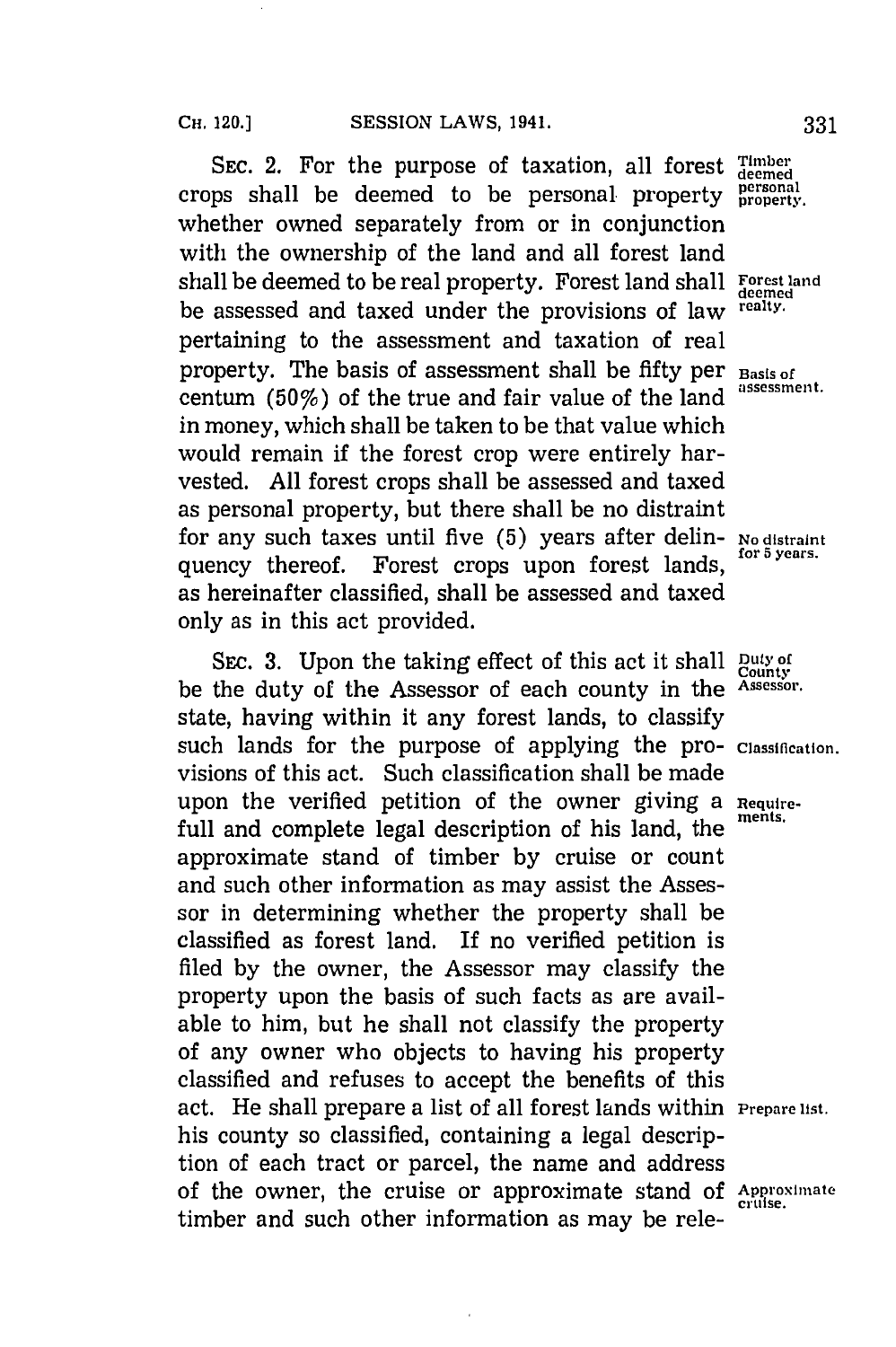SEC. 2. For the purpose of taxation, all forest  $T_{\text{demed}}^{\text{Imber}}$ crops shall be deemed to be personal property personal whether owned separately from or in conjunction with the ownership of the land and all forest land shall be deemed to be real property. Forest land shall **Forest land** shall **Forest** land be assessed and taxed under the provisions of law **realty.** pertaining to the assessment and taxation of real property. The basis of assessment shall be fifty per **Basis of** centum (50%) of the true and fair value of the land in money, which shall be taken to be that value which would remain if the forest crop were entirely harvested. **All** forest crops shall be assessed and taxed as personal property, but there shall be no distraint for any such taxes until five **(5)** years after delin- **No distraint** quency thereof. Forest crops upon forest lands, as hereinafter classified, shall be assessed and taxed only as in this act provided.

SEC. 3. Upon the taking effect of this act it shall **Duty of** county be the duty of the Assessor of each county in the **Assessor.** state, having within it any forest lands, to classify such lands for the purpose of applying the pro- *Classification*. visions of this act. Such classification shall be made upon the verified petition of the owner giving a **Require**full and complete legal description of his land, the approximate stand of timber **by** cruise or count and such other information as may assist the Assessor in determining whether the property shall be classified as forest land. If no verified petition is filed **by** the owner, the Assessor may classify the property upon the basis of such facts as are available to him, but he shall not classify the property of any owner who objects to having his property classified and refuses to accept the benefits of this act. He shall prepare a list of all forest lands within *Prepare* **list.** his county so classified, containing a legal description of each tract or parcel, the name and address of the owner, the cruise or approximate stand of Approximate timber and such other information as may be rele-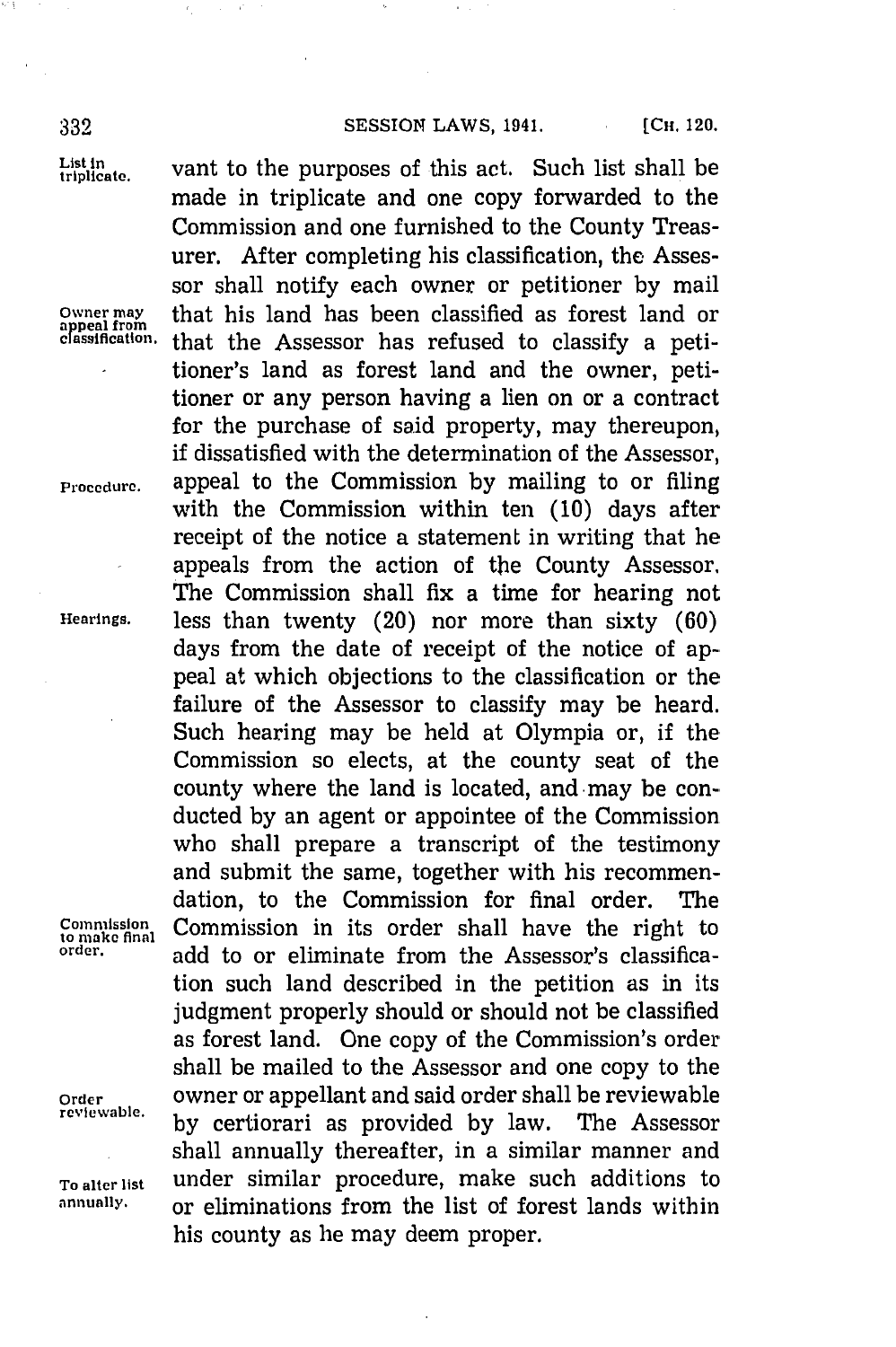List in vant to the purposes of this act. Such list shall be made in triplicate and one copy forwarded to the Commission and one furnished to the County Treasurer. After completing his classification, the Assessor shall notify each owner or petitioner **by** mail Owner may **that his land has been classified as forest land or** appeal from that the Assessor has refused to classify a petitioner's land as forest land and the owner, petitioner or any person having a lien on or a contract for the purchase of said property, may thereupon, if dissatisfied with the determination of the Assessor, **Procedure.** appeal to the Commission **by** mailing to or filing with the Commission within ten **(10)** days after receipt of the notice a statement in writing that he appeals from the action of the County Assessor. The Commission shall fix a time for hearing not **Hearings,** less than twenty (20) nor more than sixty **(60)** days from the date of receipt of the notice of appeal at which objections to the classification or the failure of the Assessor to classify may be heard. Such hearing may be held at Olympia or, if the Commission so elects, at the county seat of the county where the land is located, and may be conducted **by** an agent or appointee of the Commission who shall prepare a transcript of the testimony and submit the same, together with his recommendation, to the Commission for final order. The **Commission Commission** in its order shall have the right to order. **order,** add to or eliminate from the Assessor's classification such land described in the petition as in its judgment properly should or should not be classified as forest land. One copy of the Commission's order shall be mailed to the Assessor and one copy to the Order **OWNER ORDER ISLAND ORDER IN A SAID ORDER TO VIOLET SHALL DETERMINE A SAMPLE PARTICLE OF A SAMPLE PARTICLE OF A SAMPLE PARTICLE OF A SAMPLE PARTICLE OF A SAMPLE PARTICLE OF A SAMPLE PARTICLE OF A SAMPLE PARTICLE OF A reviewable. by** certiorari as provided **by** law. The Assessor shall annually thereafter, in a similar manner and **To alter list** under similar procedure, make such additions to **annually,** or eliminations from the list of forest lands within his county as he may deem proper.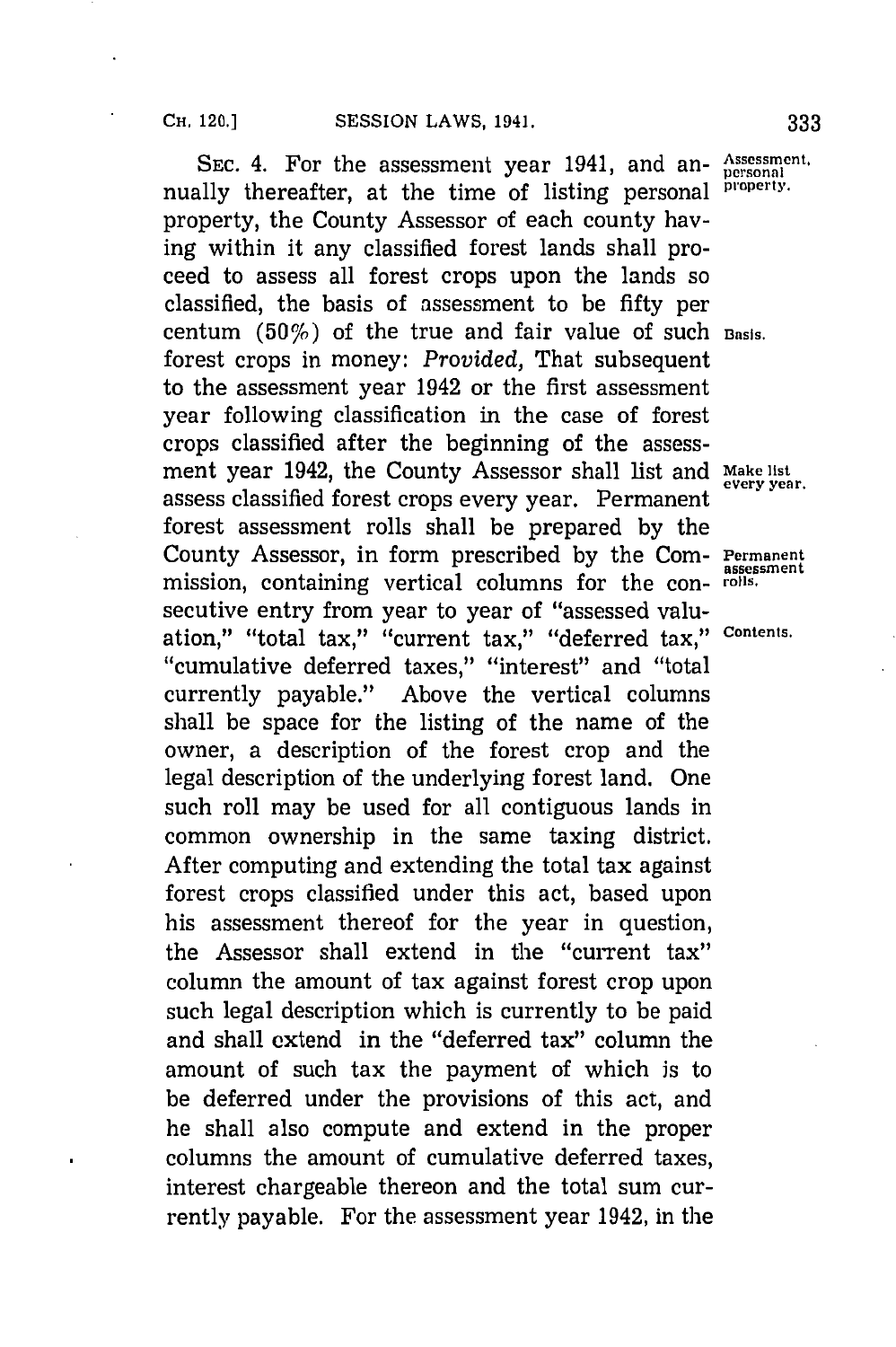SEC. 4. For the assessment year 1941, and an- **Assessment.** nually thereafter, at the time of listing personal **property**. property, the County Assessor of each county having within it any classified forest lands shall proceed to assess all forest crops upon the lands so classified, the basis of assessment to be fifty per centum (50%) of the true and fair value of such **Basis.** forest crops in money: *Provided,* That subsequent to the assessment year 1942 or the first assessment year following classification in the case of forest crops classified after the beginning of the assessment year 1942, the County Assessor shall list and Make list every year. assess classified forest crops every year. Permanent forest assessment rolls shall be prepared **by** the County Assessor, in form prescribed by the Com- Permanent mission, containing vertical columns for the con- **rolls.** secutive entry from year to year of "assessed valuation," "total tax," "current tax," "deferred tax," Contents. ''cumulative deferred taxes,'' ''interest'' and ''total currently payable." Above the vertical columns shall be space for the listing of the name of the owner, a description of the forest crop and the legal description of the underlying forest land. One such roll may be used for all contiguous lands in common ownership in the same taxing district. After computing and extending the total tax against forest crops classified under this act, based upon his assessment thereof for the year in question, the Assessor shall extend in the "current tax" column the amount of tax against forest crop upon such legal description which is currently to be paid and shall extend in the "deferred tax" column the amount of such tax the payment of which is to be deferred under the provisions of this act, and he shall also compute and extend in the proper columns the amount of cumulative deferred taxes, interest chargeable thereon and the total sum currently payable. For the assessment year 1942, in the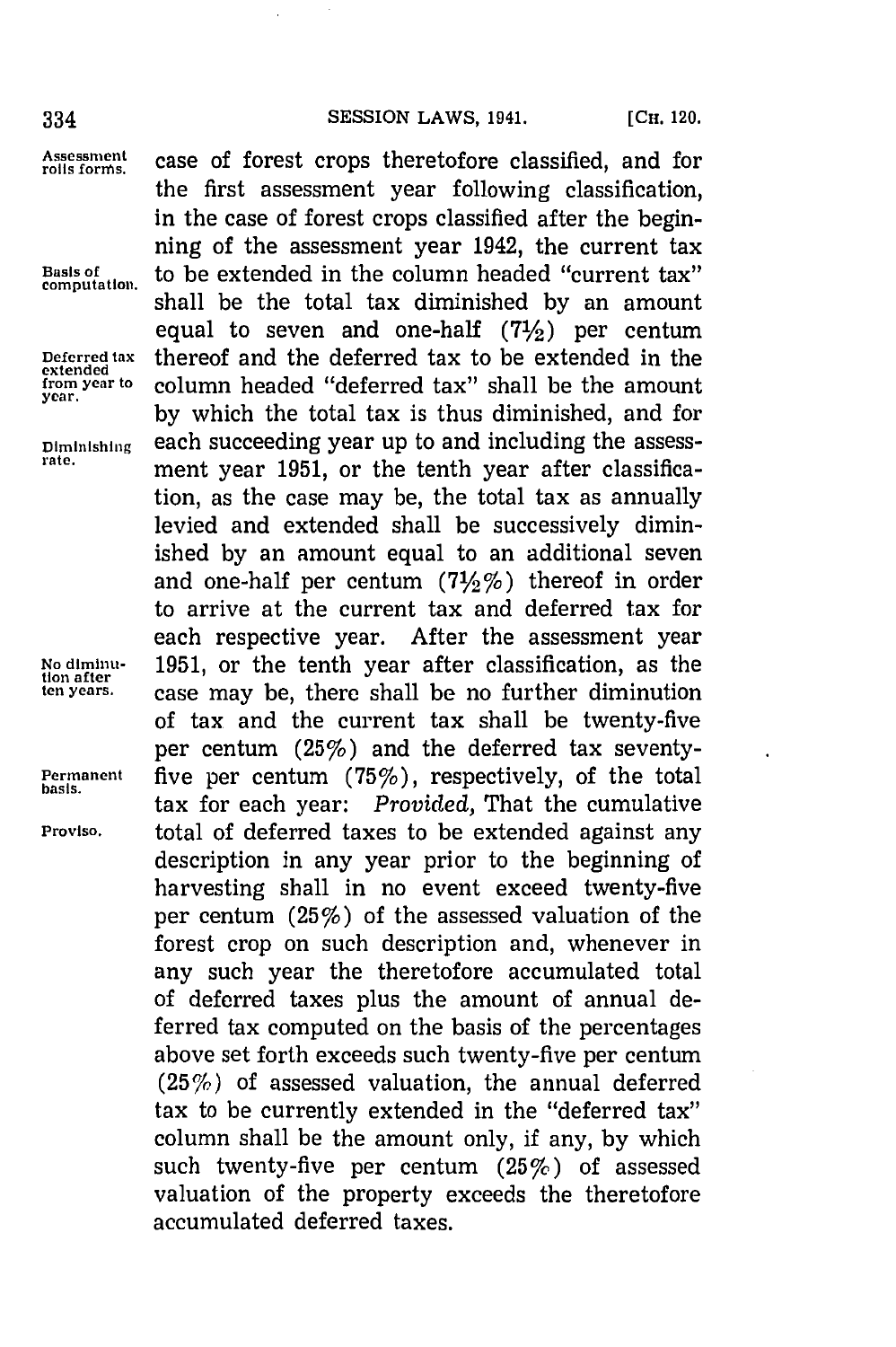extended<br>from year to

**lion after**

**basis.**

**Assessment** case of forest crops theretofore classified, and for **rolls fornms.** the first assessment year following classification, in the case of forest crops classified after the beginning of the assessment year 1942, the current tax **Basis of** to be extended in the column headed "current tax" **computation.** shall be the total tax diminished **by** an amount equal to seven and one-half **(71/2)** per centum **Deferred tax** thereof and the deferred tax to be extended in the from year to column headed "deferred tax" shall be the amount **year. by** which the total tax is thus diminished, and for Diminishing each succeeding year up to and including the assessment year 1951, or the tenth year after classification, as the case may be, the total tax as annually levied and extended shall be successively diminished **by** an amount equal to an additional seven and one-half per centum **(71/2%)** thereof in order to arrive at the current tax and deferred tax for each respective year. After the assessment year **No diminu- 1951,** or the tenth year after classification, as the case may be, there shall be no further diminution of tax and the current tax shall be twenty-five per centum (25%) and the deferred tax seventy-Permanent five per centum (75%), respectively, of the total tax for each year: *Provided,* That the cumulative **Proviso,** total of deferred taxes to be extended against any description in any year prior to the beginning of harvesting shall in no event exceed twenty-five per centum (25%) of the assessed valuation of the forest crop on such description and, whenever in any such year the theretofore accumulated total of deferred taxes plus the amount of annual deferred tax computed on the basis of the percentages above set forth exceeds such twenty-five per centum (25%) of assessed valuation, the annual deferred tax to be currently extended in the "deferred tax" column shall be the amount only, if any, **by** which such twenty-five per centum **(25%)** of assessed valuation of the property exceeds the theretofore accumulated deferred taxes.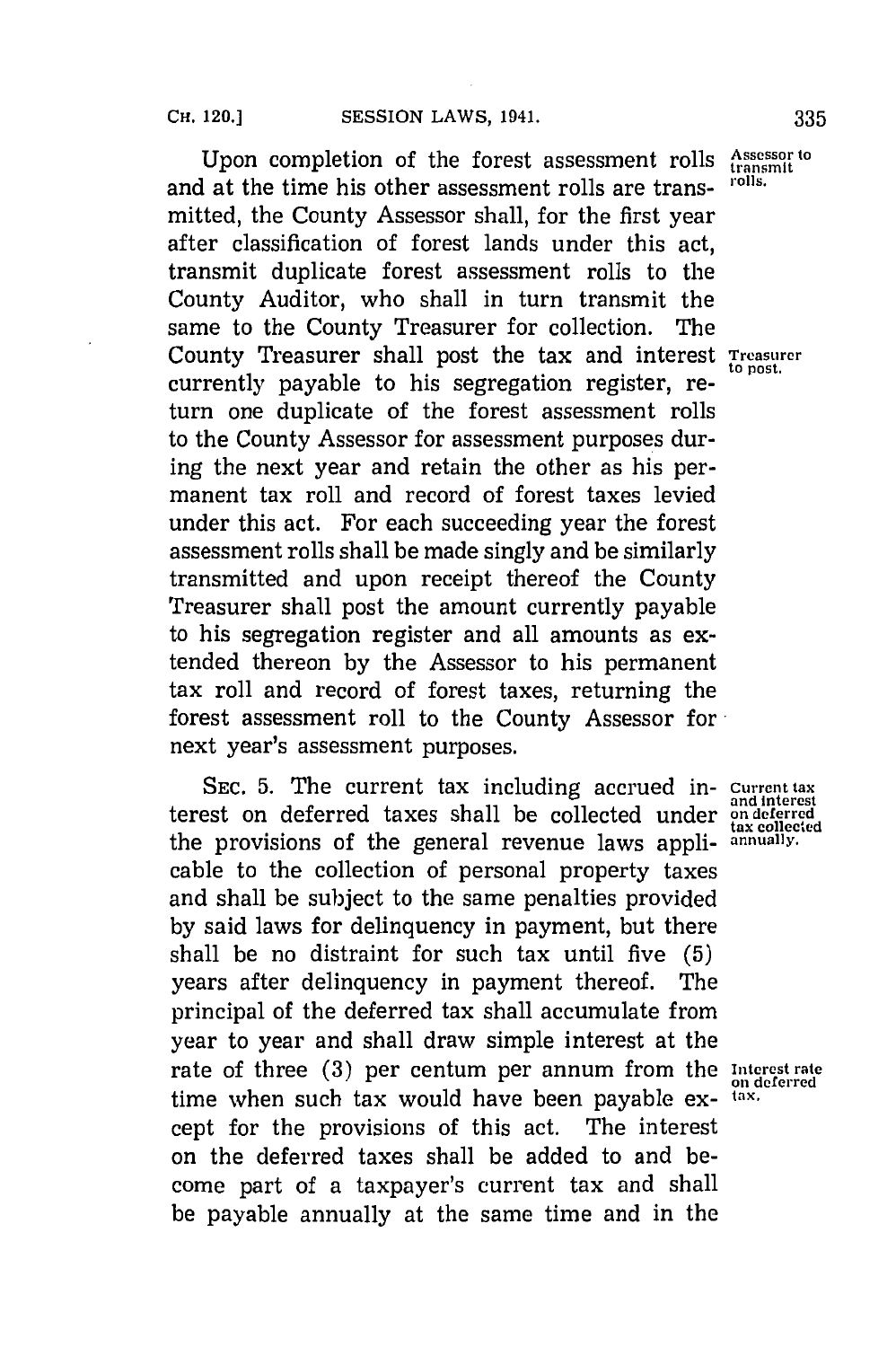Upon completion of the forest assessment rolls Assessor to be the time his other assessment rolls are the results. and at the time his other assessment rolls are transmitted, the County Assessor shall, for the first year after classification of forest lands under this act, transmit duplicate forest assessment rolls to the County Auditor, who shall in turn transmit the same to the County Treasurer for collection. The County Treasurer shall post the tax and interest **Treasurer** currently payable to his segregation register, return one duplicate of the forest assessment rolls to the County Assessor for assessment purposes during the next year and retain the other as his permanent tax roll and record of forest taxes levied under this act. For each succeeding year the forest assessment rolls shall be made singly and be similarly transmitted and upon receipt thereof the County Treasurer shall post the amount currently payable to his segregation register and all amounts as extended thereon **by** the Assessor to his permanent tax roll and record of forest taxes, returning the forest assessment roll to the County Assessor for next year's assessment purposes.

SEC. 5. The current tax including accrued in- Current tax terest on deferred taxes shall be collected under **on deferred** the provisions of the general revenue laws appli- **annually.** cable to the collection of personal property taxes and shall be subject to the same penalties provided **by** said laws for delinquency in payment, but there shall be no distraint for such tax until five **(5)** years after delinquency in payment thereof. The principal of the deferred tax shall accumulate from year to year and shall draw simple interest at the rate of three **(3)** per centum per annum from the **Interest rate on deferred** time when such tax would have been payable ex- **tax.** cept for the provisions of this act. The interest on the deferred taxes shall be added to and become part of a taxpayer's current tax and shall be payable annually at the same time and in the

**tax collected**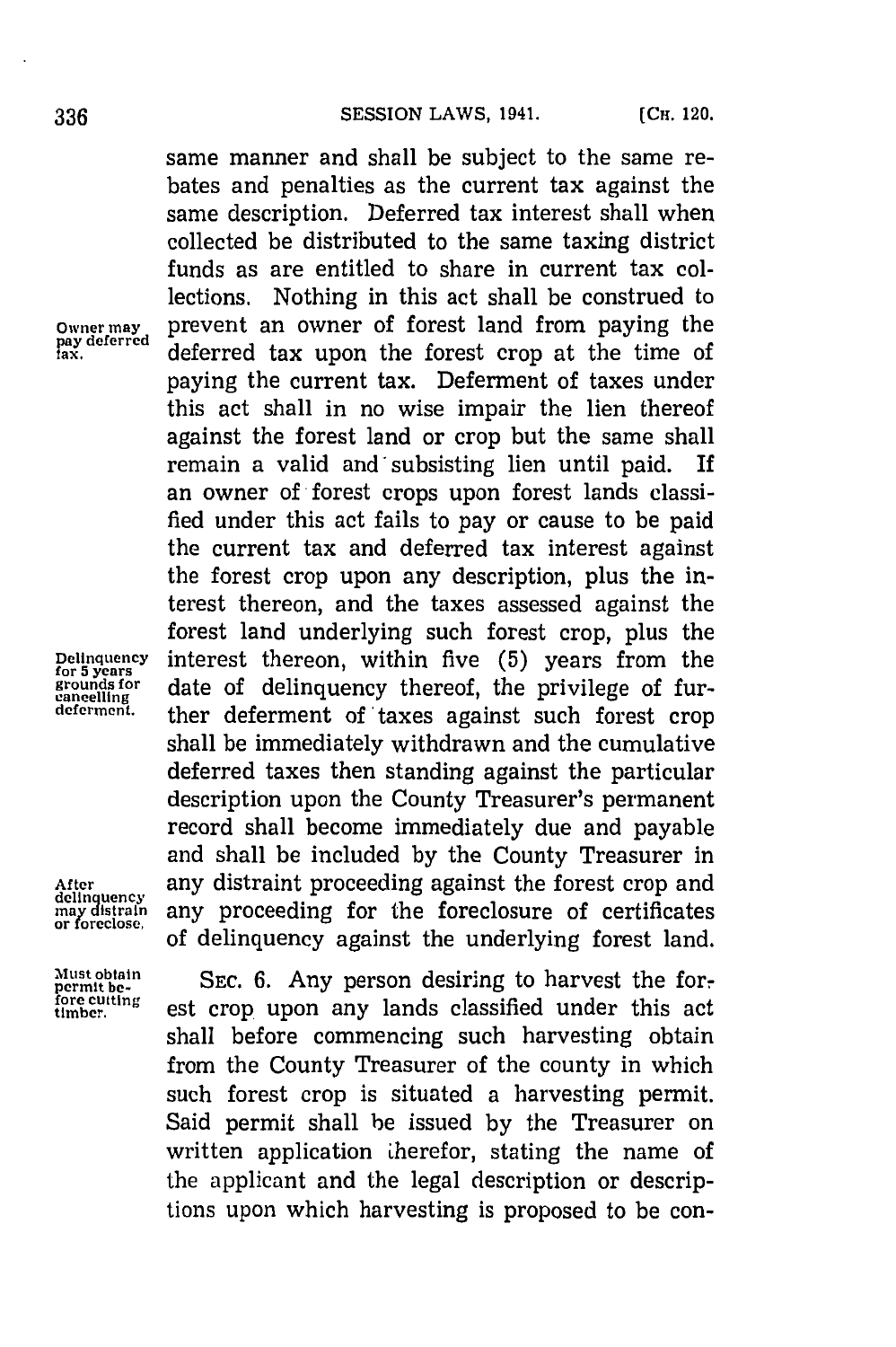same manner and shall be subject to the same rebates and penalties as the current tax against the same description. Deferred tax interest shall when collected be distributed to the same taxing district funds as are entitled to share in current tax collections. Nothing in this act shall be construed to Owner may prevent an owner of forest land from paying the pay deferred alafay and the same of the same of the same of the same of the same of the same of the same of the same of the same of the same of the same of the same deferred tax upon the forest crop at the time of paying the current tax. Deferment of taxes under this act shall in no wise impair the lien thereof against the forest land or crop but the same shall remain a valid and'subsisting lien until paid. If an owner of-forest crops upon forest lands classified under this act fails to pay or cause to be paid the current tax and deferred tax interest against the forest crop upon any description, plus the interest thereon, and the taxes assessed against the forest land underlying such forest crop, plus the **Delinquency** interest thereon, within five **(5)** years from the date of delinquency thereof, the privilege of further deferment of taxes against such forest crop shall be immediately withdrawn and the cumulative deferred taxes then standing against the particular description upon the County Treasurer's permanent record shall become immediately due and payable and shall be included **by** the County Treasurer in After any distraint proceeding against the forest crop and delinquency<br>
may distraint any proceeding for the foreclosure of certificates<br>
or foreclose. of delinquency against the underlying forest land.

**cancelling**

Must obtain **SEC. 6. Any person desiring to harves formulation**<br>formulations<br>timber. est crop upon any lands classified under this act<br>timber. shall before commencing such harvesting obtain from the County Treasurer of the county in which such forest crop is situated a harvesting permit. Said permit shall he issued **by** the Treasurer on written application therefor, stating the name of the applicant and the legal description or descriptions upon which harvesting is proposed to be con-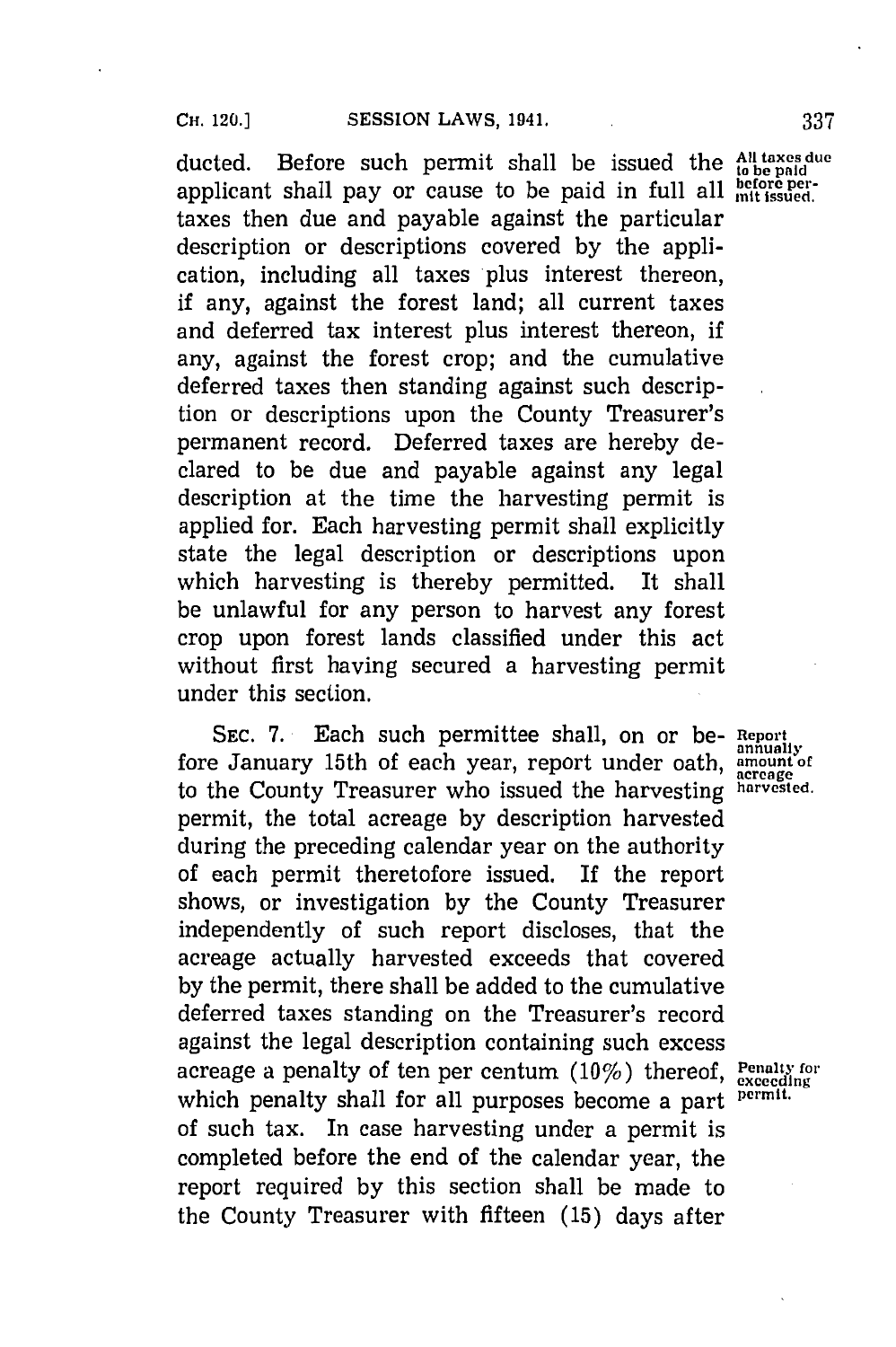ducted. Before such permit shall be issued the <sup>All taxes du</sup> applicant shall pay or cause to be paid in full all  $_{\text{mlt\text{isused}}}^{\text{before per}}$ taxes then due and payable against the particular description or descriptions covered **by** the application, including all taxes plus interest thereon, if any, against the forest land; all current taxes and deferred tax interest plus interest thereon, if any, against the forest crop; and the cumulative deferred taxes then standing against such description or descriptions upon the County Treasurer's permanent record. Deferred taxes are hereby declared to be due and payable against any legal description at the time the harvesting permit is applied for. Each harvesting permit shall explicitly state the legal description or descriptions upon which harvesting is thereby permitted. It shall be unlawful for any person to harvest any forest crop upon forest lands classified under this act without first having secured a harvesting permit under this section.

SEC. 7. Each such permittee shall, on or be- Report annually fore January 15th of each year, report under oath, amount of to the County Treasurer who issued the harvesting **harvested.** permit, the total acreage **by** description harvested during the preceding calendar year on the authority of each permit theretofore issued. If the report shows, or investigation **by** the County Treasurer independently of such report discloses, that the acreage actually harvested exceeds that covered **by** the permit, there shall be added to the cumulative deferred taxes standing on the Treasurer's record against the legal description containing such excess acreage a penalty of ten per centum  $(10\%)$  thereof, Penalty for which penalty shall for all purposes become a part <sup>permit.</sup> of such tax. In case harvesting under a permit is completed before the end of the calendar year, the report required **by** this section shall be made to the County Treasurer with fifteen **(15)** days after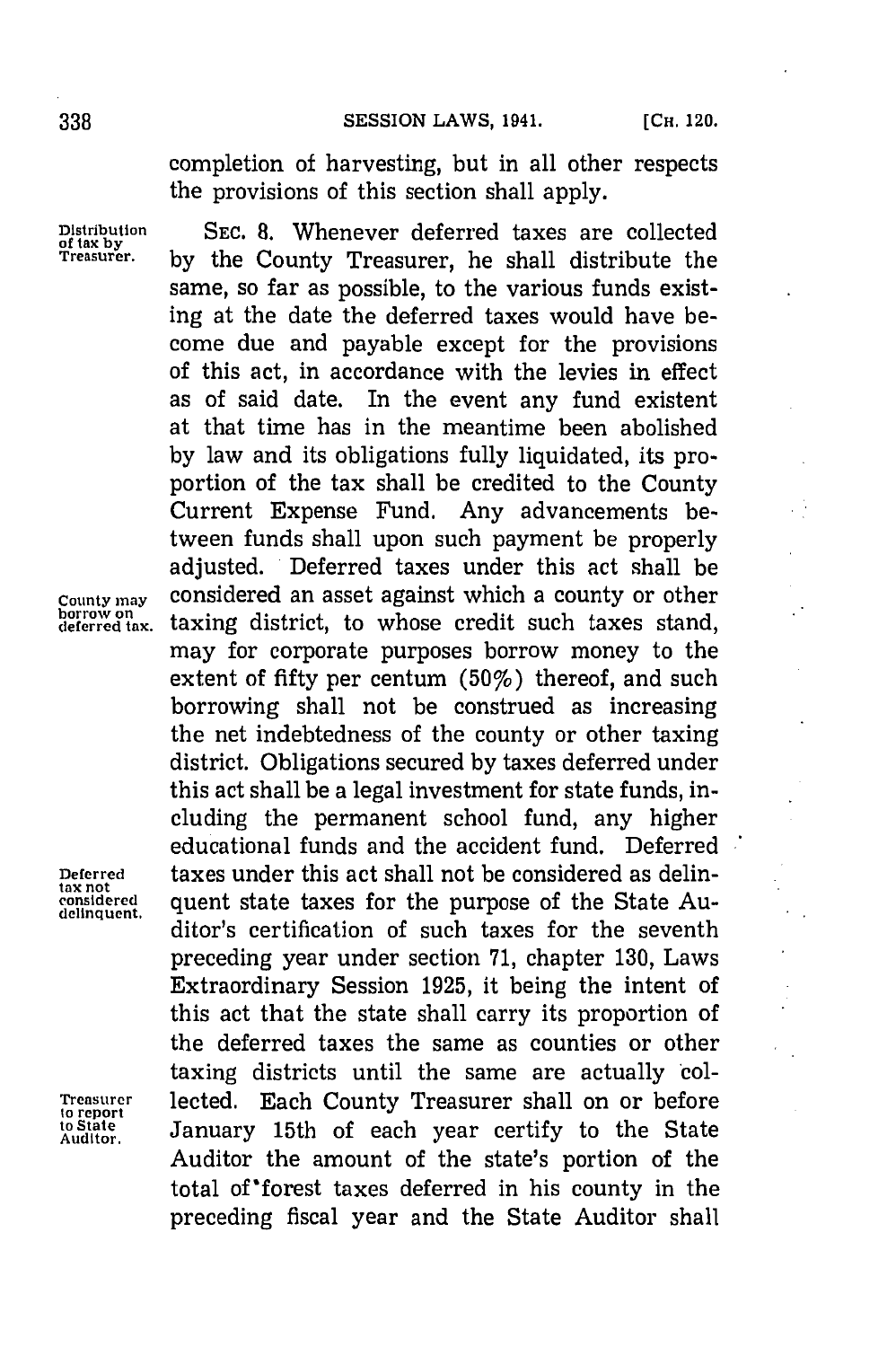completion of harvesting, but in all other respects the provisions of this section shall apply.

**Distribution SEc. 8.** Whenever deferred taxes are collected **of tax by Treasurer, by** the County Treasurer, he shall distribute the same, so far as possible, to the various funds existing at the date the deferred taxes would have become due and payable except for the provisions of this act, in accordance with the levies in effect as of said date. In the event any fund existent at that time has in the meantime been abolished **by** law and its obligations fully liquidated, its proportion of the tax shall be credited to the County Current Expense Fund. Any advancements between funds shall upon such payment be properly adjusted. Deferred taxes under this act shall be **County may** considered an asset against which a county or other<br>berrow on<br>deferred tax. taxing district, to whose credit such taxes stand, taxing district, to whose credit such taxes stand, may for corporate purposes borrow money to the extent of fifty per centum (50%) thereof, and such borrowing shall not be construed as increasing the net indebtedness of the county or other taxing district. Obligations secured **by** taxes deferred under this act shall be a legal investment for state funds, including the permanent school fund, any higher educational funds and the accident fund. Deferred **Deferred** taxes under this act shall not be considered as delinbeterred taxes under this act shall not be considered as definitions<br>tax not<br>considered quent state taxes for the purpose of the State Audelinquent. quent state taxes for the purpose of the state  $\Lambda u$ preceding year under section **71,** chapter **130,** Laws Extraordinary Session **1925,** it being the intent of this act that the state shall carry its proportion of the deferred taxes the same as counties or other taxing districts until the same are actually col-**Treasurer** lected. Each County Treasurer shall on or before **todState** January 15th of each year certify to the State Auditor the amount of the state's portion of the total of 'forest taxes deferred in his county in the preceding fiscal year and the State Auditor shall

**to report**